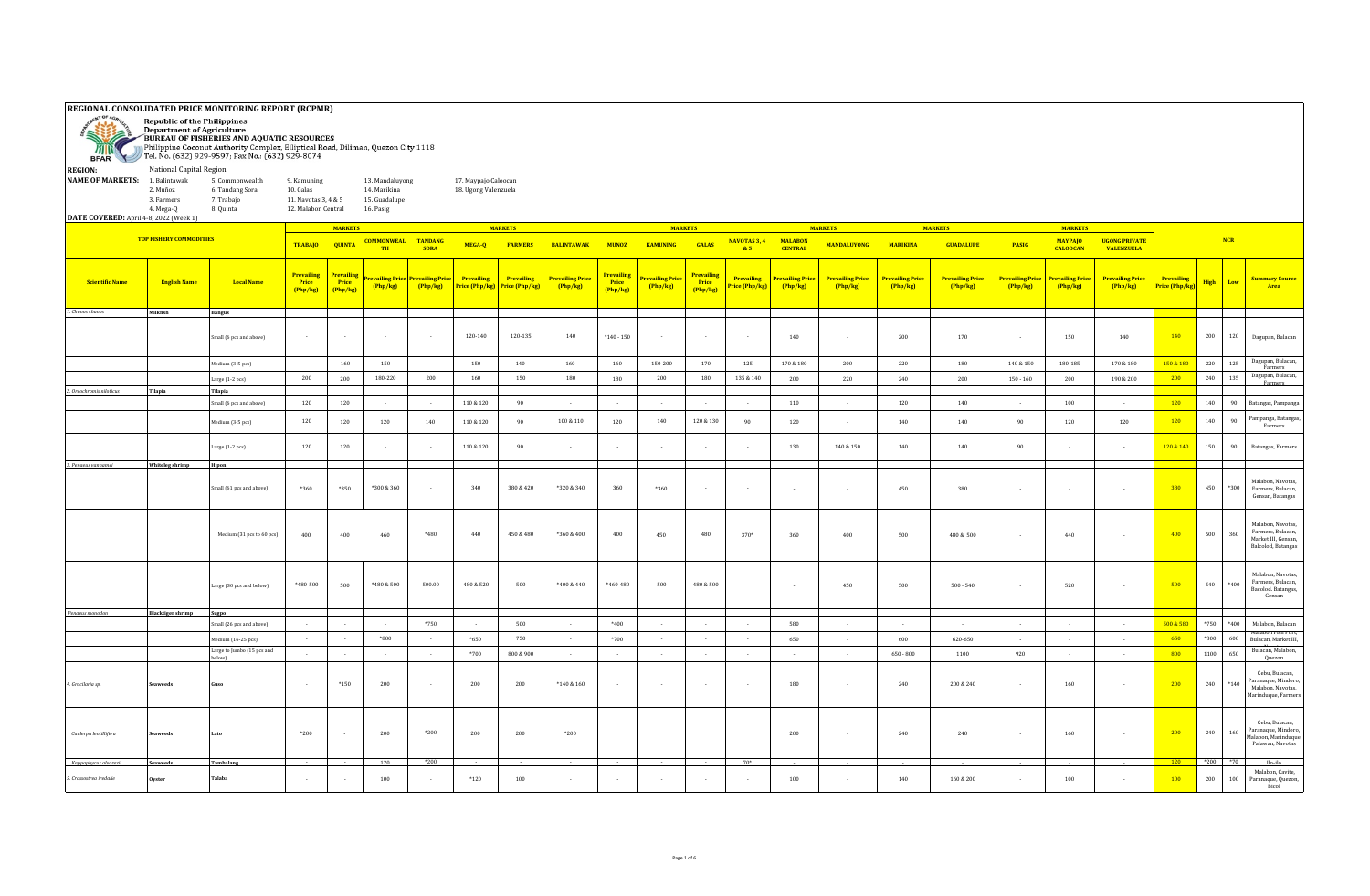| "≡"<br><b>REGION:</b>                  | REGIONAL CONSOLIDATED PRICE MONITORING REPORT (RCPMR)<br><b>Republic of the Philippines</b><br><b>Department of Agriculture</b><br>BUREAU OF FISHERIES AND AQUATIC RESOURCES<br>Philippine Coconut Authority Complex, Elliptical Road, Diliman, Quezon City 1118<br>BFAR Tel. No. (632) 929-9597; Fax No.: (632) 929-8074<br>National Capital Region<br><b>NAME OF MARKETS:</b><br>1. Balintawak<br>5. Commonwealth<br>13. Mandaluyong<br>17. Maypajo Caloocan<br>9. Kamuning<br>2. Muñoz<br>6. Tandang Sora<br>10. Galas<br>14. Marikina<br>18. Ugong Valenzuela |                                    |                                             |                                |                            |                                                           |                                     |                              |                                     |                                        |                                   |                                            |                             |                                     |                                   |                            |                                   |                                   |                                   |                                     |                              |             |            |                                                                                     |
|----------------------------------------|-------------------------------------------------------------------------------------------------------------------------------------------------------------------------------------------------------------------------------------------------------------------------------------------------------------------------------------------------------------------------------------------------------------------------------------------------------------------------------------------------------------------------------------------------------------------|------------------------------------|---------------------------------------------|--------------------------------|----------------------------|-----------------------------------------------------------|-------------------------------------|------------------------------|-------------------------------------|----------------------------------------|-----------------------------------|--------------------------------------------|-----------------------------|-------------------------------------|-----------------------------------|----------------------------|-----------------------------------|-----------------------------------|-----------------------------------|-------------------------------------|------------------------------|-------------|------------|-------------------------------------------------------------------------------------|
|                                        |                                                                                                                                                                                                                                                                                                                                                                                                                                                                                                                                                                   |                                    |                                             |                                |                            |                                                           |                                     |                              |                                     |                                        |                                   |                                            |                             |                                     |                                   |                            |                                   |                                   |                                   |                                     |                              |             |            |                                                                                     |
|                                        | 3. Farmers<br>4. Mega-Q                                                                                                                                                                                                                                                                                                                                                                                                                                                                                                                                           | 7. Trabajo<br>8. Quinta            | 11. Navotas 3, 4 & 5<br>12. Malabon Central |                                | 15. Guadalupe<br>16. Pasig |                                                           |                                     |                              |                                     |                                        |                                   |                                            |                             |                                     |                                   |                            |                                   |                                   |                                   |                                     |                              |             |            |                                                                                     |
| DATE COVERED: April 4-8, 2022 (Week 1) |                                                                                                                                                                                                                                                                                                                                                                                                                                                                                                                                                                   |                                    |                                             | <b>MARKETS</b>                 |                            |                                                           |                                     | <b>MARKETS</b>               |                                     |                                        |                                   | <b>MARKETS</b>                             |                             |                                     | <b>MARKETS</b>                    |                            | <b>MARKETS</b>                    |                                   | <b>MARKETS</b>                    |                                     |                              |             |            |                                                                                     |
|                                        | <b>TOP FISHERY COMMODITIES</b>                                                                                                                                                                                                                                                                                                                                                                                                                                                                                                                                    |                                    | <b>TRABAJO</b>                              | <b>QUINTA</b>                  | <b>COMMONWEAL TANDANG</b>  |                                                           | MEGA-Q                              | <b>FARMERS</b>               | <b>BALINTAWAK</b>                   | <b>MUNOZ</b>                           | <b>KAMUNING</b>                   | <b>GALAS</b>                               | NAVOTAS 3, 4                | <b>MALABON</b>                      | <b>MANDALUYONG</b>                | <b>MARIKINA</b>            | <b>GUADALUPE</b>                  | PASIG                             | <b>MAYPAIO</b>                    | <b>UGONG PRIVATE</b>                |                              |             | <b>NCR</b> |                                                                                     |
|                                        |                                                                                                                                                                                                                                                                                                                                                                                                                                                                                                                                                                   |                                    |                                             |                                | TH                         | <b>SORA</b>                                               |                                     |                              |                                     |                                        |                                   |                                            | 85                          | <b>CENTRAL</b>                      |                                   |                            |                                   |                                   | <b>CALOOCAN</b>                   | <b>VALENZUELA</b>                   |                              |             |            |                                                                                     |
| <b>Scientific Name</b>                 | <b>English Name</b>                                                                                                                                                                                                                                                                                                                                                                                                                                                                                                                                               | <b>Local Name</b>                  | <b>Prevailing</b><br>Price<br>(Php/kg)      | Prevailin<br>Price<br>(Php/kg) | Php/kg)                    | evailing Price <mark>  Prevailing Pric</mark><br>(Php/kg) | Prevailing<br>Price (Php/kg)        | Prevailing<br>Price (Php/kg) | <b>Prevailing Price</b><br>(Php/kg) | Prevailing<br><b>Price</b><br>(Php/kg) | <b>Prevailing Price</b><br>Php/kg | <b>Prevailing</b><br>Price<br>(Php/kg)     | Prevailing<br>rice (Php/kg) | <b>Prevailing Price</b><br>(Php/kg) | <b>Prevailing Price</b><br>Php/kg | Prevailing Price<br>Php/kg | <b>Prevailing Price</b><br>Php/kg | <b>Prevailing Price</b><br>Php/kg | <b>Prevailing Price</b><br>Php/kg | <b>Prevailing Price</b><br>(Php/kg) | Prevailing<br>Price (Php/kg) | High        | Low        | <b>Summary Source</b><br>Area                                                       |
| 1. Chanos chanos                       | Milkfish                                                                                                                                                                                                                                                                                                                                                                                                                                                                                                                                                          | <b>Bangus</b>                      |                                             |                                |                            |                                                           |                                     |                              |                                     |                                        |                                   |                                            |                             |                                     |                                   |                            |                                   |                                   |                                   |                                     |                              |             |            |                                                                                     |
|                                        |                                                                                                                                                                                                                                                                                                                                                                                                                                                                                                                                                                   | Small (6 pcs and above)            | $\sim$                                      | $\sim$                         | $\sim$                     | $\sim$                                                    | 120-140                             | 120-135                      | 140                                 | $*140 - 150$                           | $\sim$                            | $\sim$                                     | $\sim$                      | 140                                 | $\sim$                            | 200                        | 170                               | $\overline{\phantom{a}}$          | 150                               | 140                                 | 140                          | 200         | 120        | Dagupan, Bulacan                                                                    |
|                                        |                                                                                                                                                                                                                                                                                                                                                                                                                                                                                                                                                                   | Medium (3-5 pcs)                   | $\sim$                                      | 160                            | 150                        |                                                           | 150                                 | 140                          | 160                                 | 160                                    | 150-200                           | 170                                        | 125                         | 170 & 180                           | 200                               | 220                        | 180                               | $140\,\&\,150$                    | 180-185                           | $170\,\&\,180$                      | 150 & 180                    | 220         | 125        | Dagupan, Bulacan,<br>Farmers                                                        |
|                                        |                                                                                                                                                                                                                                                                                                                                                                                                                                                                                                                                                                   | Large (1-2 pcs)                    | 200                                         | 200                            | 180-220                    | 200                                                       | 160                                 | 150                          | 180                                 | 180                                    | 200                               | 180                                        | 135 & 140                   | 200                                 | 220                               | 240                        | 200                               | 150 - 160                         | 200                               | 190 & 200                           | 200                          | 240         | 135        | Dagupan, Bulacan,<br>Farmers                                                        |
| 2. Oreochromis niloticus               | Tilapia                                                                                                                                                                                                                                                                                                                                                                                                                                                                                                                                                           | Tilapia<br>mall (6 pcs and above)  | 120                                         | 120                            | $\sim$                     | $\sim$                                                    | $110 \& 120$                        | 90                           | $\sim$                              | $\sim$                                 | $\sim$                            | $\sim$                                     | $\sim$                      | 110                                 | $\sim$                            | 120                        | 140                               | $\sim$                            | 100                               |                                     | 120                          | 140         | 90         | Batangas, Pampanga                                                                  |
|                                        |                                                                                                                                                                                                                                                                                                                                                                                                                                                                                                                                                                   |                                    |                                             |                                |                            |                                                           |                                     |                              |                                     |                                        |                                   |                                            |                             |                                     |                                   |                            | 140                               |                                   |                                   |                                     |                              |             |            | Pampanga, Batangas,                                                                 |
|                                        |                                                                                                                                                                                                                                                                                                                                                                                                                                                                                                                                                                   | dedium (3-5 pcs)<br>arge (1-2 pcs) | 120<br>120                                  | 120<br>120                     | $120\,$                    | 140<br>$\sim$                                             | $110 \& 120$<br>$110\text{ \& }120$ | 90<br>90                     | $100\ \&\ 110$                      | 120<br>$\sim$                          | 140<br>$\sim$                     | $120\,\&\,130$<br>$\overline{\phantom{a}}$ | 90                          | 120<br>130                          | $140\ \&\ 150$                    | 140<br>140                 | 140                               | 90<br>90                          | 120                               | 120                                 | 120<br>120 & 140             | 140<br>150  | 90<br>90   | Farmers<br>Batangas, Farmers                                                        |
| 3. Penaeus vannamei                    | <b>Whiteleg shrimp</b>                                                                                                                                                                                                                                                                                                                                                                                                                                                                                                                                            | Hipon                              |                                             |                                |                            |                                                           |                                     |                              |                                     |                                        |                                   |                                            |                             |                                     |                                   |                            |                                   |                                   |                                   |                                     |                              |             |            |                                                                                     |
|                                        |                                                                                                                                                                                                                                                                                                                                                                                                                                                                                                                                                                   | Small (61 pcs and above)           | $*360$                                      | $*350$                         | *300 & 360                 | $\overline{\phantom{a}}$                                  | 340                                 | 380 & 420                    | *320 & 340                          | 360                                    | *360                              | $\overline{\phantom{a}}$                   | $\sim$                      | $\sim$                              | $\overline{\phantom{a}}$          | 450                        | 380                               |                                   |                                   |                                     | 380                          | 450         | $*300$     | Malabon, Navotas,<br>Farmers, Bulacan,<br>Gensan, Batangas                          |
|                                        |                                                                                                                                                                                                                                                                                                                                                                                                                                                                                                                                                                   | Medium (31 pcs to 60 pcs)          | 400                                         | 400                            | 460                        | *480                                                      | 440                                 | 450 & 480                    | *360 & 400                          | 400                                    | 450                               | 480                                        | 370*                        | 360                                 | 400                               | 500                        | 480 & 500                         |                                   | 440                               |                                     | 400                          | 500         | 360        | Malabon, Navotas,<br>Farmers, Bulacan,<br>Market III, Gensan,<br>Balcolod, Batangas |
|                                        |                                                                                                                                                                                                                                                                                                                                                                                                                                                                                                                                                                   | Large (30 pcs and below)           | $*480 - 500$                                | 500                            | $*480 & 500$               | 500.00                                                    | 480 & 520                           | 500                          | *400 & 440                          | $*460 - 480$                           | 500                               | 480 & 500                                  |                             |                                     | 450                               | 500                        | $500 - 540$                       |                                   | 520                               |                                     | 500                          | ${\bf 540}$ | $*400$     | Malabon, Navotas<br>Farmers, Bulacan,<br>Bacolod. Batangas,<br>Gensan               |
| Penaeus monodon                        | <b>Blacktiger shrimp</b>                                                                                                                                                                                                                                                                                                                                                                                                                                                                                                                                          | Sugpo<br>Small (26 pcs and above)  | $\sim$                                      | $\sim$                         | $\sim$                     | $*750$                                                    | $\sim$                              | 500                          | $\sim$                              | $*400$                                 | $\sim$                            | $\sim$                                     | $\sim$                      | 580                                 | $\sim$                            | $\sim$                     | $\sim$                            | $\sim$                            | $\sim$                            | $\sim$                              | 500 & 580                    | $*750$      | *400       | Malabon, Bulacan                                                                    |
|                                        |                                                                                                                                                                                                                                                                                                                                                                                                                                                                                                                                                                   | Medium (16-25 pcs)                 | $\sim$                                      | $\sim$                         | $*800$                     | $\sim$                                                    | $*650$                              | 750                          | $\sim$                              | *700                                   | $\sim$                            | $\sim$                                     | $\sim$                      | 650                                 | $\sim$                            | 600                        | 620-650                           | $\sim$                            | $\sim$                            | $\sim$                              | 650                          | $*800$      | 600        | taiapon Fish Port<br>Bulacan, Market III                                            |
|                                        |                                                                                                                                                                                                                                                                                                                                                                                                                                                                                                                                                                   | Large to Jumbo (15 pcs and<br>nw)  | $\sim$                                      | $\sim$                         | $\sim$                     | $\sim$                                                    | $*700$                              | 800 & 900                    | $\sim$                              | $\sim$ 100 $\mu$                       | $\sim 10^{-1}$                    | $\sim$                                     | $\sim$                      | $\sim$                              | $\sim$                            | $650 - 800$                | 1100                              | 920                               | $\sim$                            | $\sim$                              | 800                          | 1100        | 650        | Bulacan, Malabon,<br>Quezon                                                         |
| 4. Gracilaria sp.                      | aweeds                                                                                                                                                                                                                                                                                                                                                                                                                                                                                                                                                            |                                    |                                             | $*150$                         | 200                        | $\sim$                                                    | 200                                 | 200                          | $*140 & 160$                        | $\sim$                                 | $\sim$                            | $\sim$                                     | $\sim$                      | 180                                 | $\overline{\phantom{a}}$          | 240                        | 200 & 240                         |                                   | 160                               | $\sim$                              | 200                          | 240         | $*140$     | Cebu, Bulacan,<br>Paranaque, Mindoro,<br>Malabon, Navotas,<br>Marinduque, Farmers   |
| Caulerpa lentillifera                  | aweeds                                                                                                                                                                                                                                                                                                                                                                                                                                                                                                                                                            |                                    | $*200$                                      |                                | 200                        | $*200$                                                    | 200                                 | 200                          | *200                                | $\sim$                                 | $\sim$                            | $\sim$                                     | $\sim$                      | 200                                 | $\overline{\phantom{a}}$          | 240                        | 240                               |                                   | 160                               | $\sim$                              | 200                          | 240         | 160        | Cebu, Bulacan,<br>Paranaque, Mindoro<br>Malabon, Marinduque<br>Palawan, Navotas     |
| Kappaphycus alvarezii                  | <b>Seaweeds</b>                                                                                                                                                                                                                                                                                                                                                                                                                                                                                                                                                   | Tambalang                          |                                             |                                | 120                        | *200                                                      |                                     |                              |                                     |                                        |                                   |                                            | $70*$                       |                                     |                                   |                            |                                   |                                   |                                   |                                     | 120                          | $*200$      | $*70$      | Ilo-ilo                                                                             |
| 5. Crassostrea iredalie                | Ovster                                                                                                                                                                                                                                                                                                                                                                                                                                                                                                                                                            | <b>Falaba</b>                      |                                             |                                | 100                        |                                                           | $*120$                              | 100                          |                                     |                                        |                                   |                                            |                             | 100                                 |                                   | 140                        | 160 & 200                         |                                   | 100                               |                                     | 100                          | 200         | 100        | Malabon, Cavite,<br>Paranaque, Quezon,<br>Bicol                                     |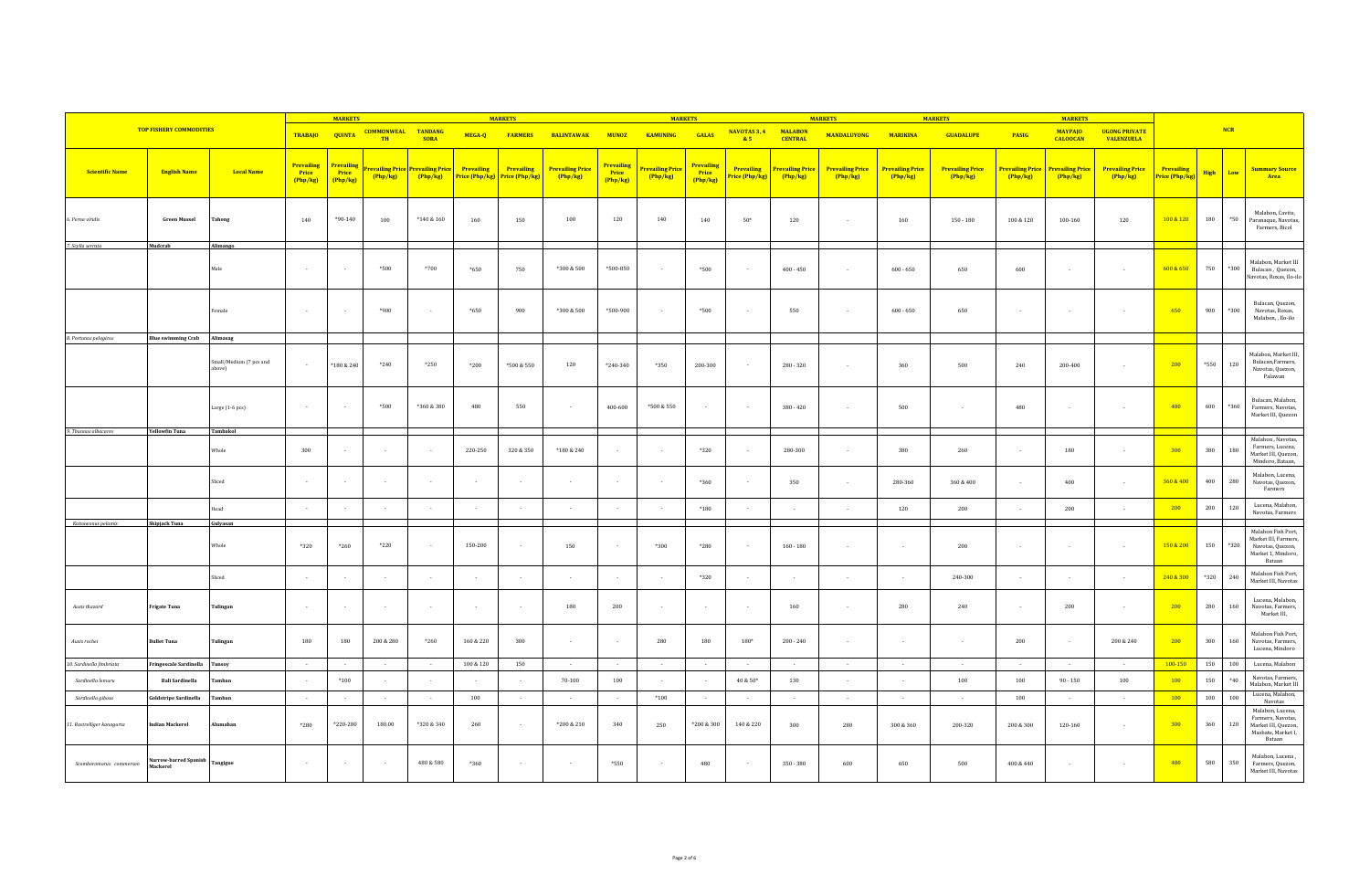|                            |                                   |                                   |                                      | <b>MARKETS</b>                |                                        |                                   |                   | <b>MARKETS</b>                              |                                     |                                        |                                   | <b>MARKETS</b>                |                              |                                     | <b>MARKETS</b>                    |                                   | <b>MARKETS</b>                    |                                   | <b>MARKETS</b>                    |                                           |                              |              |                       |                                                                                                         |
|----------------------------|-----------------------------------|-----------------------------------|--------------------------------------|-------------------------------|----------------------------------------|-----------------------------------|-------------------|---------------------------------------------|-------------------------------------|----------------------------------------|-----------------------------------|-------------------------------|------------------------------|-------------------------------------|-----------------------------------|-----------------------------------|-----------------------------------|-----------------------------------|-----------------------------------|-------------------------------------------|------------------------------|--------------|-----------------------|---------------------------------------------------------------------------------------------------------|
|                            | <b>TOP FISHERY COMMODITIES</b>    |                                   | TRABAJO QUINTA                       |                               | <b>COMMONWEAL TANDANG</b><br>TH        | <b>SORA</b>                       | MEGA-Q            | <b>FARMERS</b>                              | <b>BALINTAWAK</b>                   | <b>MUNOZ</b>                           | <b>KAMUNING</b>                   | <b>GALAS</b>                  | NAVOTAS 3, 4<br>85           | <b>MALABON</b><br><b>CENTRAL</b>    | <b>MANDALUYONG</b>                | <b>MARIKINA</b>                   | <b>GUADALUPE</b>                  | PASIG                             | <b>MAYPAJO</b><br><b>CALOOCAN</b> | <b>UGONG PRIVATE</b><br><b>VALENZUELA</b> |                              | NCR          |                       |                                                                                                         |
| <b>Scientific Name</b>     | <b>English Name</b>               | <b>Local Name</b>                 | <b>Prevailing</b><br>Price<br>Php/kg | Prevailing<br>Price<br>Php/kg | r <mark>evailing Pric</mark><br>Php/kg | <b>Prevailing Price</b><br>Php/kg | <b>Prevailing</b> | Prevailing<br>Price (Php/kg) Price (Php/kg) | <b>Prevailing Price</b><br>(Php/kg) | <b>Prevailing</b><br>Price<br>(Php/kg) | <b>Prevailing Price</b><br>Php/kg | Prevailing<br>Price<br>Php/kg | Prevailing<br>Price (Php/kg) | <b>Prevailing Price</b><br>(Php/kg) | <b>Prevailing Price</b><br>Php/kg | <b>Prevailing Price</b><br>Php/kg | <b>Prevailing Price</b><br>Php/kg | <b>Prevailing Price</b><br>Php/kg | <b>Prevailing Price</b><br>Php/kg | <b>Prevailing Price</b><br>Php/kg         | Prevailing<br>Price (Php/kg) | High         | Low                   | <b>Summary Source</b><br>Area                                                                           |
| 6. Perna viridis           | <b>Green Mussel</b>               | <b>Tahong</b>                     | 140                                  | $*90-140$                     | 100                                    | $*140&160$                        | 160               | 150                                         | 100                                 | 120                                    | 140                               | 140                           | $50*$                        | 120                                 | $\overline{\phantom{a}}$          | 160                               | $150 - 180$                       | $100\,\&\,120$                    | 100-160                           | 120                                       | 100 & 120                    | 180          | $\boldsymbol{^{*}50}$ | Malabon, Cavite,<br>Paranaque, Navotas,<br>Farmers, Bicol                                               |
| 7. Scylla serrata          | Mudcrab                           | Alimango                          | $\sim$                               |                               | $*500$                                 | $*700$                            | $*650$            | 750                                         | *300 & 500                          | *500-850                               |                                   | *500                          | $\sim$                       | $400 - 450$                         | $\overline{\phantom{a}}$          | $600 - 650$                       | 650                               | 600                               |                                   | $\overline{\phantom{a}}$                  | 600 & 650                    | 750          | $*300$                | Malabon, Market III<br>Bulacan, Quezon,<br>Navotas, Roxas, Ilo-ilo                                      |
|                            |                                   | Female                            |                                      |                               | $*900*$                                |                                   | $*650$            | 900                                         | *300 & 500                          | *500-900                               |                                   | $*500$                        | ٠.                           | 550                                 | $\overline{\phantom{a}}$          | $600 - 650$                       | 650                               |                                   |                                   |                                           | 650                          | 900          | $*300$                | Bulacan, Quezon,<br>Navotas, Roxas,<br>Malabon, , Ilo-ilo                                               |
| 8. Portunus pelagicus      | <b>Blue swimming Crab</b>         | Alimasag                          |                                      |                               |                                        |                                   |                   |                                             |                                     |                                        |                                   |                               |                              |                                     |                                   |                                   |                                   |                                   |                                   |                                           |                              |              |                       |                                                                                                         |
|                            |                                   | Small/Medium (7 pcs and<br>above) | $\sim$                               | $*180 & 240$                  | $*240$                                 | $*250$                            | $*200$            | *500 & 550                                  | 120                                 | $*240-340$                             | *350                              | 200-300                       | $\sim$                       | $280 - 320$                         | $\sim$                            | 360                               | 500                               | 240                               | 200-400                           | $\overline{\phantom{a}}$                  | 200                          | *550         | 120                   | Malabon, Market III<br>Bulacan, Farmers,<br>Navotas, Quezon,<br>Palawan                                 |
|                            |                                   | Large (1-6 pcs)                   | $\sim$                               |                               | $*500$                                 | *360 & 380                        | 480               | 550                                         | $\sim$                              | 400-600                                | *500 & 550                        | $\sim$                        | $\sim$                       | $380 - 420$                         | $\sim$                            | 500                               | $\overline{a}$                    | 480                               |                                   | $\overline{\phantom{a}}$                  | 480                          | 600          | *360                  | Bulacan, Malabon,<br>Farmers, Navotas,<br>Market III, Quezon                                            |
| 9. Thunnus albacares       | <b>Yellowfin Tuna</b>             | Tambakol                          |                                      |                               |                                        |                                   |                   |                                             |                                     |                                        |                                   |                               |                              |                                     |                                   |                                   |                                   |                                   |                                   |                                           |                              |              |                       | Malabon, Navotas,                                                                                       |
|                            |                                   | Whole                             | 300                                  |                               | $\sim$                                 | $\overline{\phantom{a}}$          | 220-250           | $320\&350$                                  | *180 & 240                          | $\sim$                                 |                                   | *320                          | $\sim$                       | 280-300                             |                                   | 380                               | 260                               |                                   | 180                               |                                           | 300                          | 380          | 180                   | Farmers, Lucena,<br>Market III, Quezon,<br>Mindoro, Bataan,                                             |
|                            |                                   | Sliced                            | $\sim$                               |                               |                                        | $\sim$                            |                   |                                             |                                     | $\sim$                                 |                                   | *360                          | $\sim$                       | 350                                 | $\sim$                            | 280-360                           | $360\,\&\,400$                    | $\overline{\phantom{a}}$          | 400                               | $\overline{\phantom{a}}$                  | 360 & 400                    | 400          | 280                   | Malabon, Lucena,<br>Navotas, Quezon,<br>Farmers                                                         |
|                            |                                   | ead                               |                                      |                               |                                        | $\sim$                            |                   |                                             |                                     | $\sim$                                 |                                   | $*180$                        |                              |                                     | $\sim$                            | 120                               | 200                               |                                   | 200                               |                                           | 200                          | 200          | 120                   | Lucena, Malabon,<br>Navotas, Farmers                                                                    |
| Katsuwonus pelamis         | Skipjack Tuna                     | Gulyasan                          |                                      |                               |                                        |                                   |                   |                                             |                                     |                                        |                                   |                               |                              |                                     |                                   |                                   |                                   |                                   |                                   |                                           |                              |              |                       |                                                                                                         |
|                            |                                   | Whole                             | *320                                 | *260                          | $*220$                                 | $\sim$                            | 150-200           | $\sim$                                      | 150                                 | $\sim$                                 | *300                              | *280                          | $\sim$                       | $160 - 180$                         | $\overline{\phantom{a}}$          | $\sim$                            | 200                               | $\overline{\phantom{a}}$          |                                   | $\sim$                                    | 150 & 200                    | 150          | *320                  | Malabon Fish Port,<br>Market III, Farmers,<br>Navotas, Quezon,<br>Market 1, Mindoro,<br>Bataan          |
|                            |                                   | Sliced                            |                                      |                               |                                        | $\overline{\phantom{a}}$          |                   |                                             |                                     | $\sim$                                 |                                   | *320                          |                              |                                     |                                   |                                   | 240-300                           |                                   |                                   | $\overline{\phantom{a}}$                  | 240 & 300                    | $^{\ast}320$ | 240                   | Malabon Fish Port,<br>Market III, Navotas                                                               |
| Auxis thazard              | rigate Tuna                       | Tulingan                          | $\sim$                               |                               | $\sim$                                 | $\sim$                            |                   | $\sim$                                      | 180                                 | 200                                    | $\sim$                            | $\sim$                        | $\sim$                       | 160                                 |                                   | 280                               | 240                               |                                   | 200                               |                                           | 200                          | 280          | 160                   | Lucena, Malabon,<br>Navotas, Farmers,<br>Market III,                                                    |
| Auxis rochei               | <b>Bullet Tuna</b>                | Tulingan                          | 180                                  | 180                           | 200 & 280                              | $*260$                            | 160 & 220         | 300                                         |                                     | $\sim$                                 | 280                               | 180                           | 180*                         | $200 - 240$                         | $\overline{\phantom{a}}$          |                                   | $\overline{\phantom{a}}$          | 200                               |                                   | 200 & 240                                 | 200                          | 300          | 160                   | Malabon Fish Port,<br>Navotas, Farmers,<br>Lucena, Mindoro                                              |
| 10. Sardinella fimbriata   | ringescale Sardinella             | Tunsoy                            | $\sim$                               | $\overline{\phantom{a}}$      | $\sim$                                 | $\sim$                            | 100 & 120         | 150                                         | $\sim$                              | $\sim$                                 | $\sim$                            | $\sim$                        | $\sim$                       | $\sim$                              | $\sim$                            | $\sim$                            | $\sim 10^{-1}$                    | $\sim 100$                        | $\sim$                            | $\sim$                                    | 100-150                      | 150          | 100                   | Lucena, Malabon                                                                                         |
| Sardinella lemuru          | <b>Bali Sardinella</b>            | Tambar                            |                                      | $^*100$                       |                                        |                                   |                   |                                             | $70 - 100$                          | 100                                    |                                   |                               | $40 & 50*$                   | 130                                 |                                   |                                   | $100\,$                           | 100                               | $90 - 150$                        | 100                                       | 100                          | 150          | $^{\ast}40$           | Navotas, Farmers,<br>Malabon, Market III                                                                |
| Sardinella gibosa          | Goldstripe Sardinella             | Tamban                            | $\sim$                               | $\sim$                        | $\sim$                                 | $\sim$                            | 100               | $\sim$                                      | $\sim$                              | $\sim$                                 | $*100$                            | $\sim$                        | $\sim$                       | $\sim$                              | $\sim$                            | $\sim$                            | $\sim$                            | 100                               | $\sim$                            | $\overline{a}$                            | 100                          | 100          | 100                   | Lucena, Malabon,                                                                                        |
| 11. Rastrelliger kanagurta | ndian Mackerel                    | Alumahan                          | *280                                 | $*220 - 280$                  | 180.00                                 | *320 & 340                        | 260               | $\sim$                                      | $*200 & 210$                        | 340                                    | 250                               | *200 & 300                    | 140 & 220                    | 300                                 | 280                               | 300 & 360                         | 200-320                           | 200 & 300                         | 120-160                           | $\sim$                                    | 300                          | 360          | 120                   | Navotas<br>Malabon, Lucena,<br>Farmers, Navotas,<br>Market III, Quezon,<br>Masbate, Market I,<br>Bataan |
| Scomberomorus commerson    | Varrow-barred Spanish<br>Mackerel | Tangigue                          | $\sim 10^{-1}$                       | $\sim$                        | $\sim$                                 | 480 & 580                         | $*360$            |                                             |                                     | $*550$                                 | $\sim$                            | 480                           | $\sim$                       | $350 - 380$                         | 600                               | 650                               | 500                               | 400 & 440                         |                                   | $\overline{\phantom{a}}$                  | 480                          | 580          | 350                   | Malabon, Lucena,<br>Farmers, Quezon,<br>Market III, Navotas                                             |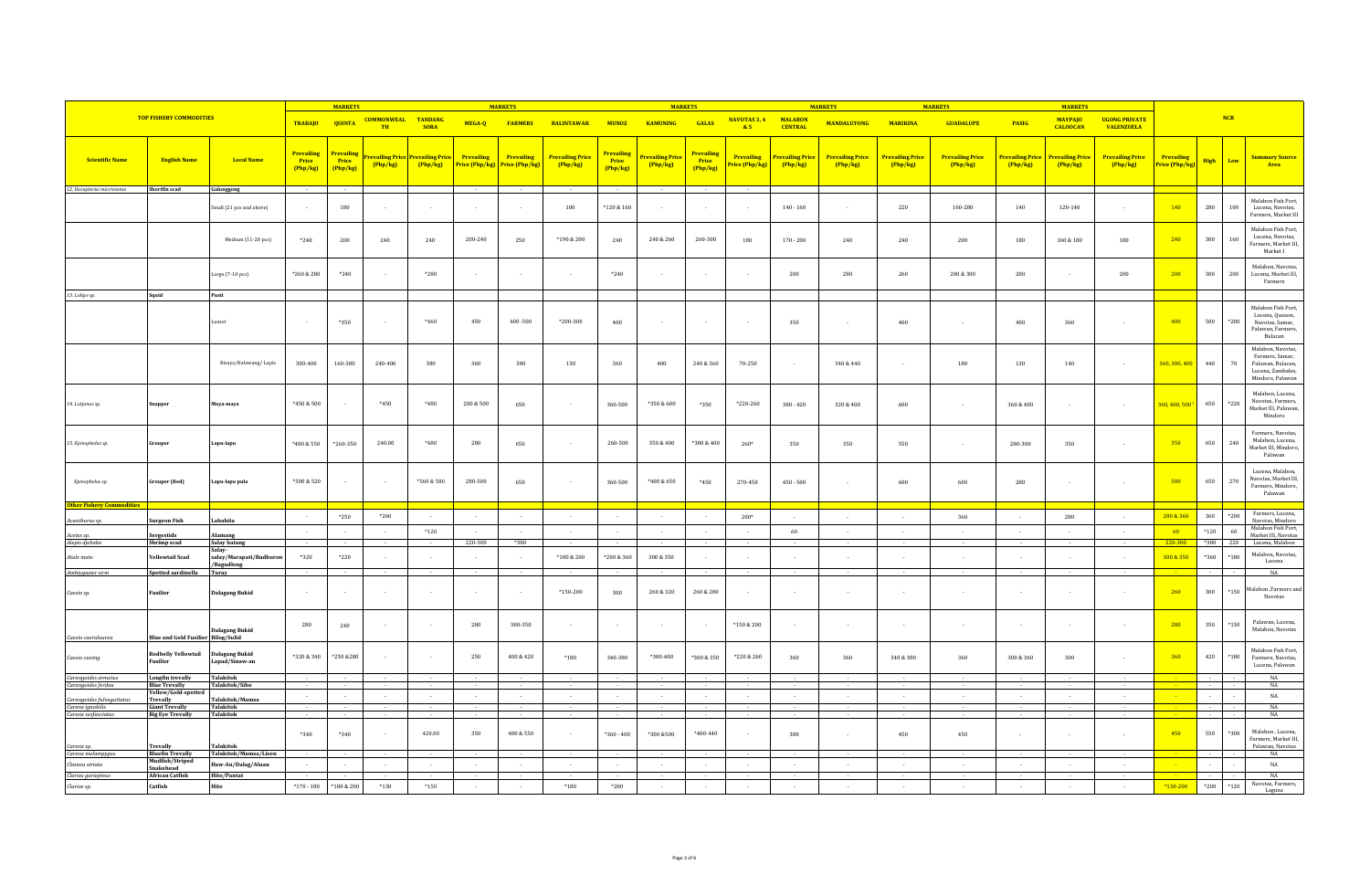|                                                    |                                                  |                                     |                                                  | <b>MARKETS</b>                  |                                                          |              |                                     | <b>MARKETS</b>               |                                   |                                           | <b>MARKETS</b>                    |                                 |                                              |                                   | <b>MARKET</b>                      |                                         | <b>MARKET</b>                     |                                         | <b>MARKETS</b>                    |                                           |                            |                    |            |                                                                                                    |
|----------------------------------------------------|--------------------------------------------------|-------------------------------------|--------------------------------------------------|---------------------------------|----------------------------------------------------------|--------------|-------------------------------------|------------------------------|-----------------------------------|-------------------------------------------|-----------------------------------|---------------------------------|----------------------------------------------|-----------------------------------|------------------------------------|-----------------------------------------|-----------------------------------|-----------------------------------------|-----------------------------------|-------------------------------------------|----------------------------|--------------------|------------|----------------------------------------------------------------------------------------------------|
|                                                    | <b>TOP FISHERY COMMODITIES</b>                   |                                     | <b>TRABAJO</b>                                   | <b>QUINTA</b>                   | <b>COMMONWEAL TANDANG</b><br>TH                          | <b>SORA</b>  | MEGA-Q                              | <b>FARMERS</b>               | <b>BALINTAWAK</b>                 | <b>MUNOZ</b>                              | <b>KAMUNING</b>                   | <b>GALAS</b>                    | NAVOTAS 3, 4<br>85                           | <b>MALABON</b><br><b>CENTRAL</b>  | <b>MANDALUYONG</b>                 | <b>MARIKINA</b>                         | <b>GUADALUPE</b>                  | PASIG                                   | <b>MAYPAJO</b><br><b>CALOOCAN</b> | <b>UGONG PRIVATE</b><br><b>VALENZUELA</b> |                            |                    | <b>NCR</b> |                                                                                                    |
| <b>Scientific Name</b><br>12. Decapterus macrosoma | <b>English Name</b><br>Shortfin scad             | <b>Local Name</b><br>Galunggong     | <b>Prevailing</b><br>Price<br>(Php/kg)<br>$\sim$ | Prevailing<br>Price<br>(Php/kg) | <mark>evailing Price Prevailing Price</mark><br>(Php/kg) | Php/kg       | <b>Prevailing</b><br>Price (Php/kg) | Prevailing<br>Price (Php/kg) | <b>Prevailing Price</b><br>Php/kg | Prevailing<br>Price<br>(Php/kg)<br>$\sim$ | <b>Prevailing Price</b><br>Php/kg | Prevailing<br>Price<br>(Php/kg) | <b>Prevailing</b><br>rice (Php/kg)<br>$\sim$ | <b>Prevailing Price</b><br>Php/kg | <b>Prevailing Price</b><br>Php/kg) | <mark>Prevailing Price</mark><br>Php/kg | <b>Prevailing Price</b><br>Php/kg | <mark>Prevailing Price</mark><br>Php/kg | Prevailing Price<br>Php/kg        | <b>Prevailing Price</b><br>Php/kg         | Prevailing<br>ice (Php/kg) | <b>High</b>        | Low        | <b>Summary Source</b><br>Area                                                                      |
|                                                    |                                                  |                                     |                                                  |                                 |                                                          |              |                                     |                              |                                   |                                           |                                   |                                 |                                              |                                   |                                    |                                         |                                   |                                         |                                   |                                           |                            |                    |            | Malabon Fish Port,                                                                                 |
|                                                    |                                                  | mall (21 pcs and above)             |                                                  | 180                             |                                                          | $\sim$       |                                     |                              | 100                               | $^*120\,\&\,160$                          |                                   |                                 | $\sim$                                       | $140 - 160$                       |                                    | $220\,$                                 | 160-280                           | 140                                     | 120-140                           |                                           | 140                        | 280                | 100        | Lucena, Navotas,<br>Farmers, Market III                                                            |
|                                                    |                                                  | Medium (11-20 pcs)                  | $*240$                                           | 200                             | 240                                                      | 240          | 200-240                             | 250                          | $*190 & 200$                      | 240                                       | 240 & 260                         | 260-300                         | 180                                          | $170 - 200$                       | 240                                | ${\bf 240}$                             | $200\,$                           | 180                                     | $160\ \&\ 180$                    | 180                                       | 240                        | 300                | 160        | Malabon Fish Port,<br>Lucena, Navotas.<br>Farmers, Market III,<br>Market I                         |
|                                                    |                                                  | Large (7-10 pcs)                    | *260 & 280                                       | $*240$                          |                                                          | *280         |                                     |                              |                                   | $*240$                                    |                                   |                                 | $\sim$                                       | 200                               | 280                                | 260                                     | 200 & 300                         | 200                                     |                                   | 200                                       | 200                        | 300                | 200        | Malahon Navotas<br>Lucena, Market III<br>Farmers                                                   |
| 13. Loligo sp.                                     | Squid                                            | Pusit                               |                                                  |                                 |                                                          |              |                                     |                              |                                   |                                           |                                   |                                 |                                              |                                   |                                    |                                         |                                   |                                         |                                   |                                           |                            |                    |            |                                                                                                    |
|                                                    |                                                  | umot                                |                                                  | $*350$                          |                                                          | *460         | 450                                 | $400 - 500$                  | $*200 - 300$                      | 400                                       |                                   |                                 |                                              | 350                               | $\overline{\phantom{a}}$           | 400                                     | $\overline{\phantom{a}}$          | 400                                     | 360                               |                                           | 400                        | 500                | $*200$     | Malabon Fish Port,<br>Lucena, Quezon,<br>Navotas, Samar,<br>Palawan, Farmers,<br>Bulacan           |
|                                                    |                                                  | Bisaya/Kalawang/Lapis               | 300-400                                          | 160-380                         | 240-400                                                  | 380          | 360                                 | 380                          | 130                               | 360                                       | 400                               | 240 & 360                       | 70-250                                       | $\sim$                            | 340 & 440                          |                                         | 180                               | 130                                     | 140                               |                                           | 360, 380, 400              | 440                | 70         | Malabon, Navotas,<br>Farmers, Samar,<br>Palawan, Bulacan,<br>Lucena, Zambales,<br>Mindoro, Palawan |
| 14. Lutjanus sp.                                   |                                                  | Maya-maya                           | *450 & 500                                       |                                 | $*450$                                                   | *480         | 280 & 500                           | 650                          |                                   | 360-500                                   | *350 & 600                        | *350                            | *220-260                                     | 380 - 420                         | 320 & 400                          | 600                                     | $\overline{a}$                    | 360 & 400                               |                                   |                                           | 360, 400, 500              | 650                | *220       | Malabon, Lucena,<br>Navotas, Farmers,<br>Market III, Palawan,<br>Mindoro                           |
| 15. Epinephelus sp.                                | Grouper                                          | Lapu-lapu                           | $*480 & 550$                                     | *260-350                        | 240.00                                                   | *480         | 280                                 | 650                          | $\sim$                            | 260-500                                   | 350 & 400                         | *380 & 400                      | 260*                                         | 350                               | 350                                | 550                                     | $\sim$                            | 280-300                                 | 350                               | $\overline{\phantom{a}}$                  | 350                        | 650                | 240        | Farmers, Navotas,<br>Malabon, Lucena,<br>Market III, Mindoro,<br>Palawan                           |
| Epinephelus sp.                                    | <b>Grouper (Red)</b>                             | Lapu-lapu pula                      | *500 & 520                                       |                                 | $\sim$                                                   | $*560 & 580$ | 280-500                             | 650                          |                                   | 360-500                                   | $*400 & 650$                      | $*450$                          | 270-450                                      | $450 - 500$                       |                                    | 600                                     | 600                               | 280                                     |                                   |                                           | 500                        | 650                | 270        | Lucena, Malabon.<br>Navotas, Market III<br>Farmers, Mindoro,<br>Palawan                            |
| Other Fishery Commodities                          |                                                  |                                     | $\sim$                                           |                                 | $*260$                                                   |              |                                     |                              |                                   | $\sim$                                    |                                   |                                 |                                              |                                   |                                    |                                         |                                   |                                         |                                   |                                           | 280 & 360                  |                    | $*200$     | Farmers, Lucena,                                                                                   |
| Acanthurus sp.                                     | <b>Surgeon Fish</b>                              | abahita                             |                                                  | *250                            |                                                          |              |                                     |                              |                                   |                                           |                                   |                                 | $200*$                                       |                                   |                                    |                                         | 360                               |                                         | 280                               |                                           |                            | 360                |            | Navotas, Mindoro<br>Malabon Fish Port,                                                             |
| Acetes sp.<br>Alepis djebaba                       | Sergestids<br>Shrimp scad                        | lamang<br>Salay batang              | $\sim$                                           | $\sim$                          | $\sim$                                                   | $*120$       | 220-300                             | *380                         |                                   | $\sim$                                    | $\sim$                            | $\sim$                          | $\sim$                                       | 60                                | $\sim$                             |                                         | $\sim$<br>$\sim$                  | $\sim$                                  |                                   |                                           | 60<br>220-300              | $*120$<br>*380 220 | 60         | Market III, Navotas<br>Lucena, Malabon                                                             |
| Atule mate                                         | <b>Yellowtail Scad</b>                           | Salav-<br>salay/Marapati/Budburon   | *320                                             | $*220$                          |                                                          | $\sim$       |                                     |                              | *180 & 200                        | *200 & 360                                | 300 & 350                         |                                 |                                              |                                   |                                    |                                         |                                   |                                         |                                   |                                           | 300 & 350                  | *360               | *180       | Malabon, Navotas,                                                                                  |
| Ambiygaster sirm                                   | <b>Spotted sardinella</b>                        | Bagudlong<br>Turay                  |                                                  |                                 |                                                          |              |                                     |                              |                                   |                                           |                                   |                                 |                                              |                                   |                                    |                                         |                                   |                                         |                                   |                                           |                            |                    |            | Lucena<br>$_{\rm NA}$                                                                              |
| Caesio sp.                                         | Fusilier                                         | Dalagang Bukid                      | $\sim$                                           |                                 | $\sim$                                                   | $\sim$       |                                     |                              | $*150-200$                        | 300                                       | 260 & 320                         | 260 & 280                       |                                              | $\sim$                            |                                    |                                         | $\sim$                            |                                         |                                   |                                           | 260                        | 300                | $*150$     | lalabon ,Farmers and<br>Navotas                                                                    |
| Caesio caerulat                                    | <b>Blue and Gold Fusilier</b>                    | alagang Bukid<br><b>Bilog/Sulid</b> | 280                                              | 240                             |                                                          | $\sim$       | 280                                 | 300-350                      | $\sim$                            | $\sim$                                    | $\sim$                            | $\overline{\phantom{a}}$        | $*150 & 200$                                 | $\sim$                            |                                    |                                         | $\overline{\phantom{a}}$          | $\overline{\phantom{a}}$                |                                   | $\sim$                                    | 280                        | 350                | $*150$     | Palawan, Lucena,<br>Malabon, Navotas                                                               |
| Caesio cuning                                      | <b>Redbelly Yellowtail</b><br>Fusilier           | alagang Bukid<br>Lapad/Sinaw-an     | *320 & 340                                       | *250 & 280                      |                                                          | $\sim$       | 250                                 | 400 & 420                    | *180                              | 340-380                                   | *300-400                          | *300 & 350                      | *220 & 260                                   | 360                               | 360                                | 340 & 380                               | 360                               | 300 & 360                               | 300                               |                                           | 360                        | 420                | *180       | Malabon Fish Port<br>Farmers, Navotas,<br>Lucena, Palawan                                          |
| Carangoides armatus<br>Carangoides ferdau          | <b>Longfin trevally</b><br><b>Blue Trevally</b>  | <b>Talakitok</b><br>Talakitok/Sibo  |                                                  |                                 |                                                          |              |                                     |                              |                                   |                                           |                                   |                                 |                                              |                                   |                                    |                                         |                                   |                                         |                                   |                                           |                            |                    |            | NA<br>NA                                                                                           |
| Carangoides fulvogutt                              | Yellow/Gold-spotte<br><b>Trevally</b>            | alakitok/Mamsa                      | $\sim$                                           |                                 | $\sim$                                                   | $\sim$       |                                     |                              | $\sim$                            | $\sim$                                    |                                   |                                 | $\sim$                                       |                                   |                                    | $\sim$                                  | $\sim$                            | $\overline{\phantom{a}}$                | $\sim$                            |                                           |                            |                    |            | $_{\rm NA}$                                                                                        |
| Caranx ignobilis<br>Caranx sexfasciatus            | <b>Giant Trevally</b><br><b>Big Eye Trevally</b> | Talakitok<br><b>Talakitok</b>       |                                                  |                                 |                                                          |              |                                     |                              |                                   |                                           |                                   |                                 |                                              |                                   |                                    |                                         |                                   |                                         |                                   |                                           |                            |                    |            | NA<br>NA                                                                                           |
| Caranx sp.                                         | <b>Trevally</b>                                  | <b>Talakitok</b>                    | $*340$                                           | *340                            |                                                          | 420.00       | 350                                 | 480 & 550                    |                                   | $*360 - 400$                              | *300 &500                         | $*400.440$                      | $\sim$                                       | 380                               |                                    | 450                                     | 450                               |                                         |                                   |                                           | 450                        | 550                | *300       | Malabon, Lucena,<br>Farmers, Market III<br>Palawan, Navotas                                        |
| Caranx melampygus                                  | <b>Bluefin Trevally</b><br>Mudfish/Striped       | Talakitok/Mamsa/Lison               |                                                  |                                 |                                                          |              |                                     |                              |                                   |                                           |                                   |                                 |                                              |                                   |                                    |                                         |                                   |                                         |                                   |                                           |                            |                    |            | $_{\rm NA}$                                                                                        |
| Channa striata<br>Clarias gariepinus               | Snakehead<br><b>African Catfish</b>              | Haw-An/Dalag/Aluan<br>Hito/Pantat   | $\sim$                                           | $\sim$                          | $\sim$                                                   | $\sim$       | $\sim$                              | $\sim$                       | $\sim$                            | $\sim$                                    | $\sim$                            | $\sim$                          | $\sim$                                       | $\sim$                            | $\sim$                             | $\sim$                                  | $\sim$                            | $\sim$                                  | $\sim$                            | $\sim$                                    | <b>College</b>             | $\sim$             |            | $_{\rm NA}$<br>NA                                                                                  |
| Clarias sp.                                        | Catfish                                          | lito                                | $*170 - 180$                                     | *180 & 200                      | $*130$                                                   | $*150$       |                                     |                              | $^{\ast}180$                      | $*200$                                    |                                   |                                 |                                              |                                   |                                    |                                         |                                   | $\overline{\phantom{a}}$                |                                   |                                           | *130-200                   | $*200$             | $*120$     | Navotas, Farmers,<br>Laguna                                                                        |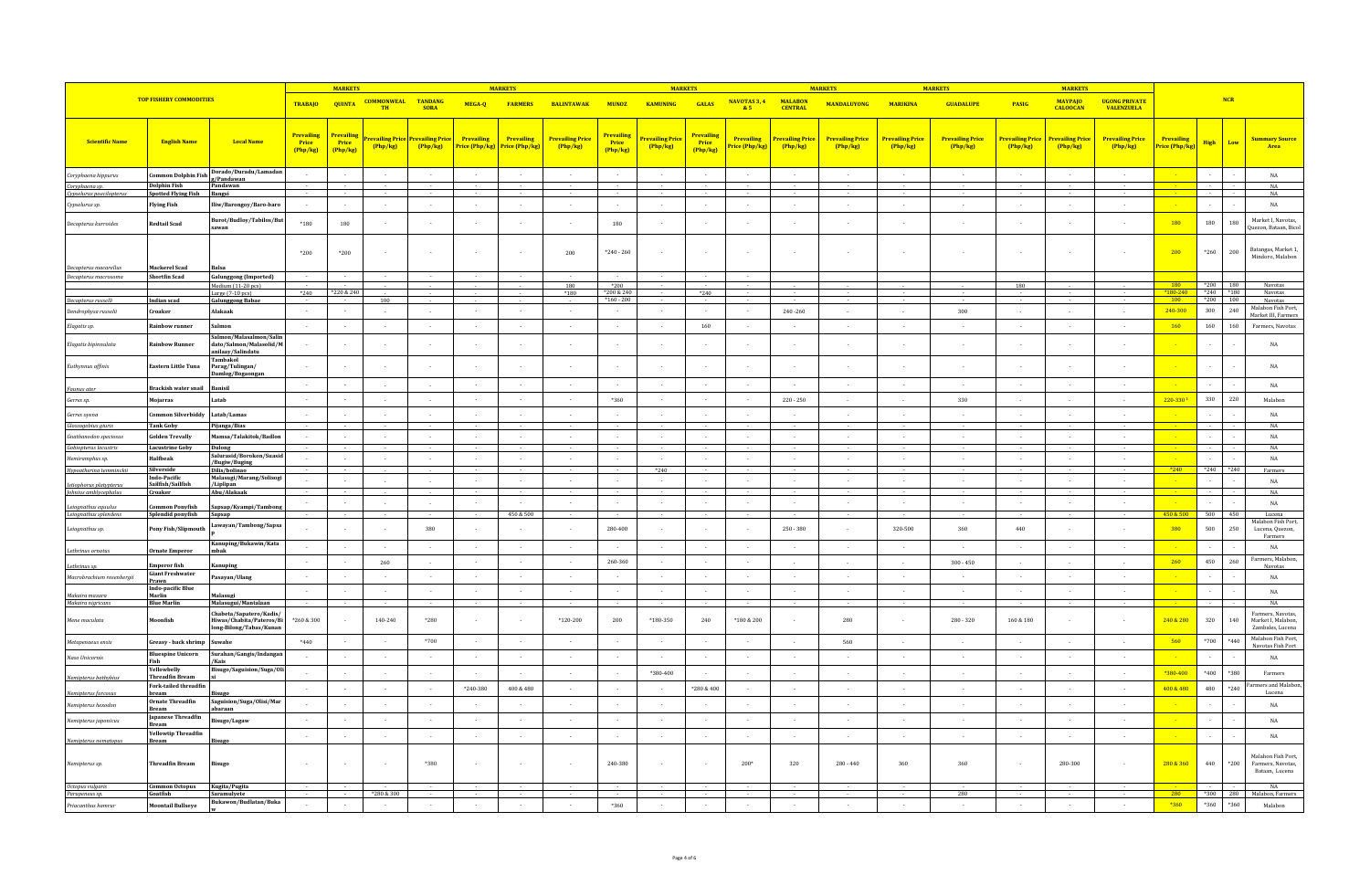|                                                  |                                                   |                                                                             |                                       | <b>MARKETS</b>                  |                                 |                                          |                              | <b>MARKETS</b>                   |                                   |                                      | <b>MARKETS</b>                    |                                        |                             |                                     | <b>MARKETS</b>                      |                                   | <b>MARKETS</b>                    |                                           | <b>MARKETS</b>                    |                                           |                              |               |                |                                                             |
|--------------------------------------------------|---------------------------------------------------|-----------------------------------------------------------------------------|---------------------------------------|---------------------------------|---------------------------------|------------------------------------------|------------------------------|----------------------------------|-----------------------------------|--------------------------------------|-----------------------------------|----------------------------------------|-----------------------------|-------------------------------------|-------------------------------------|-----------------------------------|-----------------------------------|-------------------------------------------|-----------------------------------|-------------------------------------------|------------------------------|---------------|----------------|-------------------------------------------------------------|
|                                                  | <b>TOP FISHERY COMMODITIES</b>                    |                                                                             | <b>TRABAJO</b>                        | <b>QUINTA</b>                   | <b>COMMONWEAL TANDANG</b><br>TH | <b>SORA</b>                              | MEGA-Q                       | <b>FARMERS</b>                   | <b>BALINTAWAK</b>                 | <b>MUNOZ</b>                         | <b>KAMUNING</b>                   | <b>GALAS</b>                           | NAVOTAS 3, 4 MALABON<br>85  | <b>CENTRAL</b>                      | <b>MANDALUYONG</b>                  | <b>MARIKINA</b>                   | <b>GUADALUPE</b>                  | PASIG                                     | <b>MAYPAIO</b><br><b>CALOOCAN</b> | <b>UGONG PRIVATE</b><br><b>VALENZUELA</b> |                              |               | NCR            |                                                             |
|                                                  |                                                   |                                                                             |                                       |                                 |                                 |                                          |                              |                                  |                                   |                                      |                                   |                                        |                             |                                     |                                     |                                   |                                   |                                           |                                   |                                           |                              |               |                |                                                             |
| <b>Scientific Name</b>                           | <b>English Name</b>                               | <b>Local Name</b>                                                           | <b>Prevailing</b><br>Price<br>Php/kg) | Prevailins<br>Price<br>(Php/kg) | evailing Price<br>Php/kg        | <mark>revailing Price</mark><br>(Php/kg) | Prevailing<br>Price (Php/kg) | Prevailing<br>Price (Php/kg)     | <b>Prevailing Price</b><br>Php/kg | <b>Prevailing</b><br>Price<br>Php/kg | <b>Prevailing Price</b><br>Php/kg | <b>Prevailing</b><br>Price<br>(Php/kg) | Prevailing<br>rice (Php/kg) | <b>Prevailing Price</b><br>(Php/kg) | <b>Prevailing Price</b><br>(Php/kg) | <b>Prevailing Price</b><br>Php/kg | <b>Prevailing Price</b><br>Php/kg | <mark>Prevailing Price</mark><br>(Php/kg) | <b>Prevailing Price</b><br>Php/kg | <b>Prevailing Price</b><br>Php/kg         | Prevailing<br>Price (Php/kg) | High          | Low            | <b>Summary Source</b><br>Area                               |
|                                                  |                                                   |                                                                             |                                       |                                 |                                 |                                          |                              |                                  |                                   |                                      |                                   |                                        |                             |                                     |                                     |                                   |                                   |                                           |                                   |                                           |                              |               |                |                                                             |
| Coryphaena hippurus                              |                                                   | Common Dolphin Fish Dorado/Duradu/Lamadan                                   | $\sim$                                | $\sim$                          | $\sim$                          | $\sim$                                   | $\sim$                       | $\sim$                           | $\sim$                            | $\sim$                               | $\sim$                            | $\sim$                                 | $\sim$                      | $\sim$                              | $\sim$                              | $\sim$                            | $\sim$                            | $\sim$                                    | $\sim$                            | $\sim$                                    |                              |               | $\overline{a}$ | $_{\rm NA}$                                                 |
| Coryphaena sp.<br>Cypselurus poecilopterus       | <b>Dolphin Fish</b><br><b>Spotted Flying Fish</b> | Pandawan<br>Bangsi                                                          |                                       |                                 |                                 |                                          |                              |                                  |                                   |                                      |                                   |                                        |                             |                                     |                                     |                                   |                                   |                                           |                                   |                                           |                              |               |                | NA<br>NA                                                    |
| Cypselurus sp.                                   | <b>Flying Fish</b>                                | iw/Barongoy/Baro-baro                                                       | $\sim$                                |                                 | $\sim$                          | $\sim$                                   | $\cdot$                      | $\overline{\phantom{a}}$         |                                   | $\sim$                               | $\sim$                            | $\sim$                                 | $\sim$                      | $\sim$                              |                                     | $\sim$                            | $\cdot$                           | $\sim$                                    | $\sim$                            |                                           |                              |               |                | $_{\rm NA}$                                                 |
| Decapterus kurroides                             | <b>Redtail Scad</b>                               | Burot/Budloy/Tabilos/But<br>sawan                                           | *180                                  | 180                             |                                 | $\overline{\phantom{a}}$                 |                              |                                  |                                   | 180                                  |                                   |                                        |                             |                                     |                                     |                                   |                                   |                                           |                                   |                                           | 180                          | 180           | 180            | Market I, Navotas,<br>Quezon, Bataan, Bicol                 |
|                                                  |                                                   |                                                                             | *200                                  | *200                            | $\sim$                          | $\overline{a}$                           |                              | $\sim$                           | 200                               | $*240 - 260$                         | $\sim$                            | $\sim$                                 | $\sim$                      |                                     |                                     |                                   |                                   |                                           |                                   |                                           | 200                          | $^*260$       | 200            | Batangas, Market 1,<br>Mindoro, Malabon                     |
| Decapterus macarellus                            | <b>Mackerel Scad</b>                              |                                                                             |                                       |                                 |                                 |                                          |                              |                                  |                                   |                                      |                                   |                                        |                             |                                     |                                     |                                   |                                   |                                           |                                   |                                           |                              |               |                |                                                             |
| Decapterus macrosoma                             | <b>Shortfin Scad</b>                              | <b>Galunggong</b> (Imported)<br>Medium (11-20 pcs)                          |                                       |                                 |                                 | $\sim$                                   |                              |                                  | 180                               | *200                                 |                                   |                                        |                             |                                     |                                     |                                   |                                   | 180                                       |                                   |                                           |                              | $*200$        |                | Navotas                                                     |
|                                                  |                                                   | Large $(7-10$ pcs)                                                          | *240                                  | *220 & 240                      |                                 |                                          |                              |                                  | $*180$                            | *200 & 240                           |                                   | $*240$                                 |                             |                                     |                                     |                                   |                                   |                                           |                                   |                                           | <b>180</b><br>$180 - 240$    | $*240$ $*180$ | 180            | Navotas                                                     |
| Decapterus russeli                               | Indian scad<br>Croaker                            | <b>Galunggong Babae</b><br>Alakaak                                          | $\sim$                                | $\sim$                          | 100<br>$\sim$                   | $\sim$                                   | $\sim$                       | $\overline{a}$                   | $\sim$                            | $*160 - 200$<br>$\sim$               | $\sim$                            | $\sim$                                 | $\sim$                      | 240-260                             | $\sim$                              | $\sim$                            | 300                               | $\sim$                                    | $\sim$                            | $\sim$                                    | 100<br>240-300               | $*200$<br>300 | 100<br>240     | Navotas<br>Malabon Fish Port                                |
| Dendrophysa russelii                             |                                                   |                                                                             |                                       |                                 |                                 |                                          |                              |                                  |                                   |                                      |                                   |                                        |                             |                                     |                                     |                                   |                                   |                                           |                                   |                                           |                              |               |                | Market III, Farmers                                         |
| Elagatis sp.                                     | <b>Rainbow runner</b>                             | almon<br>Salmon/Malasalmon/Sali                                             | $\sim$                                |                                 | $\sim$                          | $\sim$                                   | $\sim$                       | $\overline{\phantom{a}}$         | $\sim$                            | $\sim$                               | $\sim$                            | 160                                    | $\sim$                      |                                     |                                     | $\sim$                            | $\overline{\phantom{a}}$          | $\sim$                                    | $\sim$                            |                                           | <b>160</b>                   | 160           | 160            | Farmers, Navotas                                            |
| Elagatis bipinnulata                             | Rainbow Runner                                    | dato/Salmon/Malasolid/M<br>nilaay/Salindatu<br>Tambakol                     |                                       |                                 |                                 | $\overline{\phantom{a}}$                 |                              |                                  |                                   |                                      |                                   |                                        |                             |                                     |                                     |                                   |                                   |                                           |                                   |                                           |                              |               |                | $_{\rm NA}$                                                 |
| Euthynnus affinis                                | <b>Eastern Little Tuna</b>                        | Parag/Tulingan/<br>)amlog/Bogaonga                                          |                                       |                                 |                                 | $\sim$                                   |                              |                                  |                                   |                                      |                                   |                                        |                             |                                     |                                     |                                   |                                   |                                           |                                   |                                           |                              |               |                | $_{\rm NA}$                                                 |
| Faunus ater                                      | Brackish water snail                              | sanisi                                                                      |                                       |                                 |                                 | $\cdot$                                  |                              |                                  |                                   | $\sim$                               |                                   |                                        | $\sim$                      |                                     |                                     |                                   | $\overline{\phantom{a}}$          |                                           |                                   |                                           |                              |               |                | $_{\rm NA}$                                                 |
| Gerres sp.                                       | Mojarras                                          | atab                                                                        | $\sim$                                |                                 |                                 | $\sim$                                   | $\sim$                       | $\overline{\phantom{a}}$         |                                   | $*360$                               | $\sim$                            | $\sim$                                 | $\sim$                      | $220 - 250$                         | $\sim$                              |                                   | 330                               |                                           |                                   |                                           | 220-330 <sup>2</sup>         | 330           | 220            | Malabon                                                     |
| Gerres oyena                                     | ommon Silverbiddy                                 | Latab/Lamas                                                                 | $\sim$                                |                                 |                                 | $\sim$                                   |                              |                                  |                                   | $\sim$                               |                                   |                                        | $\sim$                      |                                     |                                     |                                   | $\cdot$                           |                                           |                                   |                                           |                              |               |                | $_{\rm NA}$                                                 |
| Glossogobius giuris<br>Gnathanodon speciosus     | <b>Tank Goby</b><br><b>Golden Trevally</b>        | Pijanga/Bias<br>Aamsa/Talakitok/Badlon                                      |                                       |                                 |                                 |                                          |                              |                                  |                                   |                                      |                                   |                                        | $\sim$                      |                                     |                                     |                                   |                                   |                                           |                                   |                                           |                              |               |                | NA<br>$_{\rm NA}$                                           |
| Gobiopterus lacustris                            | <b>Lacustrine Goby</b>                            | Dulong                                                                      |                                       |                                 |                                 |                                          |                              |                                  |                                   |                                      |                                   |                                        |                             |                                     |                                     |                                   |                                   |                                           |                                   |                                           |                              |               |                | NA                                                          |
| Hemiramphus sp.                                  | Halfbeak                                          | Salurasid/Borokon/Suasid<br>/Bugiw/Buging                                   |                                       |                                 |                                 | $\sim$                                   |                              |                                  |                                   | $\sim$                               |                                   |                                        | $\sim$                      |                                     |                                     |                                   | $\overline{\phantom{a}}$          |                                           |                                   |                                           |                              |               |                | $_{\rm NA}$                                                 |
| Hypoatherina temminckii                          | Silverside<br>Indo-Pacific                        | Dilis/bolinao<br>Malasugi/Marang/Solisog                                    |                                       |                                 |                                 |                                          |                              |                                  |                                   |                                      | *240                              |                                        |                             |                                     |                                     |                                   |                                   |                                           |                                   |                                           | $*240$                       | $*240$ $*240$ |                | Farmers                                                     |
| Istiophorus platypterus<br>Johnius amblycephalus | Sailfish/Sailfish<br>Croaker                      | /Liplipan<br>Abu/Alakaak                                                    |                                       |                                 |                                 | $\overline{\phantom{a}}$                 |                              |                                  |                                   |                                      |                                   |                                        |                             |                                     |                                     |                                   |                                   |                                           |                                   |                                           |                              |               |                | $_{\rm NA}$<br>NA                                           |
| Leiognathus equulus                              | mmon Ponyfish                                     | Sapsap/Kyampi/Tambon                                                        | $\sim$                                |                                 | $\sim$                          | $\sim$                                   |                              |                                  |                                   | $\sim$                               | $\sim$                            | $\sim$                                 | $\sim$                      | $\sim$                              | $\sim$                              | $\sim$                            | $\sim$                            | $\sim$                                    |                                   | $\sim$                                    |                              |               |                | $_{\rm NA}$                                                 |
| Leiognathus splendens                            | Splendid ponyfish                                 | Sapsap                                                                      |                                       |                                 |                                 |                                          |                              | 450 & 500                        |                                   |                                      |                                   |                                        |                             |                                     |                                     |                                   |                                   |                                           |                                   |                                           | 450 & 500                    | 500 450       |                | Lucena<br>Malabon Fish Port,                                |
| Leiognathus sp.                                  | Pony Fish/Slipmouth                               | awayan/Tambong/Sapsa                                                        |                                       |                                 |                                 | 380                                      |                              |                                  |                                   | 280-400                              |                                   |                                        |                             | $250 - 380$                         |                                     | 320-500                           | 360                               | 440                                       |                                   |                                           | 380                          | 500           | 250            | Lucena, Quezon,<br>Farmers                                  |
| Lethrinus ornatu                                 | <b>Irnate Emperor</b>                             | Kanuping/Bukawin/Kata<br>nbak                                               | $\sim$                                |                                 |                                 | $\overline{\phantom{a}}$                 |                              |                                  |                                   | $\sim$                               |                                   |                                        | $\sim$                      |                                     | $\overline{\phantom{a}}$            |                                   | $\overline{\phantom{a}}$          |                                           |                                   |                                           |                              |               |                | NA<br>Farmers, Malabon,                                     |
| Lethrinus sp.                                    | <b>Emperor fish</b><br><b>Giant Freshwater</b>    | anuping                                                                     | $\sim$                                |                                 | 260                             | $\sim$                                   | $\sim$                       | $\overline{\phantom{a}}$         | $\sim$                            | 260-360                              | $\sim$ $-$                        |                                        | $\sim$                      | $\sim$                              | $\sim$                              | $\sim$                            | $300 - 450$                       | $\overline{\phantom{a}}$                  | $\sim$                            | $\overline{a}$                            | 260                          | 450           | 260            | Navotas                                                     |
| Macrobrachium rosenbergii                        | Prawn<br>Indo-pacific Blue                        | asayan/Ulang                                                                | $\sim$<br>$\sim$                      |                                 | $\sim$<br>$\sim$                | $\sim$<br>$\sim$                         | $\sim$<br>$\sim$             | $\overline{a}$<br>$\overline{a}$ | $\sim$<br>$\sim$                  | $\sim$<br>$\sim$                     | $\sim$<br>$\sim$                  | $\sim$<br>$\sim$                       | $\sim$<br>$\sim$            | $\sim$<br>$\sim$                    | $\sim$<br>$\sim$                    | $\sim$<br>$\sim$                  | $\sim$<br>$\sim$                  | $\sim$<br>$\sim$                          | $\sim$<br>$\sim$                  | $\sim$<br>$\sim$                          |                              |               |                | $_{\rm NA}$<br>$_{\rm NA}$                                  |
| Makaira mazara<br>Makaira nigricans              | Marlin<br><b>Blue Marlin</b>                      | lalasugi<br>Malasugui/Mantalaan                                             |                                       |                                 |                                 |                                          |                              |                                  |                                   |                                      |                                   |                                        |                             |                                     |                                     |                                   |                                   |                                           |                                   |                                           |                              |               |                | NA                                                          |
| Mene maculata                                    | <b>Moonfish</b>                                   | habeta/Sanatero/Kadis<br>Hiwas/Chabita/Pateros/Bi<br>ong-Bilong/Tabas/Kunan | *260 & 300                            |                                 | 140-240                         | $*280$                                   |                              |                                  | *120-200                          | 200                                  | *180-350                          | 240                                    | $*180 & 200$                | $\sim$                              | 280                                 |                                   | 280 - 320                         | 160 & 180                                 |                                   |                                           | 240 & 280                    | 320           | 140            | Farmers, Navotas,<br>Market I. Malabon.<br>Zambales, Lucena |
| Metapenaeus ensis                                | Greasy - back shrimp                              | <b>uwahe</b>                                                                | $*440$                                |                                 |                                 | *700                                     |                              |                                  |                                   |                                      |                                   |                                        |                             |                                     | 560                                 |                                   | $\overline{\phantom{a}}$          |                                           |                                   |                                           | 560                          | $^{\ast}700$  | $*440$         | Malabon Fish Port.<br>Navotas Fish Port                     |
| Naso Unicornis                                   | <b>Bluespine Unicorn</b><br>Fish                  | urahan/Gangis/Indanga<br>/Kais                                              |                                       |                                 |                                 | $\overline{\phantom{a}}$                 |                              |                                  |                                   |                                      |                                   |                                        | $\sim$                      |                                     |                                     |                                   | $\overline{\phantom{a}}$          |                                           |                                   |                                           |                              |               |                | NA                                                          |
| Nemipterus bathybius                             | Yellowbelly<br><b>Threadfin Bream</b>             | Bisugo/Saguision/Suga/Oli                                                   | $\sim$                                |                                 | $\sim$                          | $\sim$                                   | $\sim$                       | $\overline{\phantom{a}}$         | $\sim$                            | $\sim$                               | *380-400                          | $\sim$                                 | $\sim$                      | $\sim$                              | $\sim$                              | $\sim$                            | $\sim$                            | $\sim$                                    | $\sim$                            | $\sim$                                    | *380-400                     | $*400$        | *380           | Farmers                                                     |
| Nemipterus furcosus                              | <b>Fork-tailed threadfin</b><br>bream             | isugo                                                                       | $\sim$                                |                                 | $\sim$                          | $\sim$                                   | *240-380                     | 400 & 480                        | $\sim$                            | $\sim$                               | $\sim$                            | *280 & 400                             | $\sim$                      | $\sim$                              | $\overline{a}$                      | $\sim$                            | $\sim$                            | $\sim$                                    | $\sim$                            | $\sim$                                    | 400 & 480                    | 480           | $*240$         | irmers and Malaboi<br>Lucena                                |
| lemipterus hexodon                               | <b>Ornate Threadfin</b><br><b>Bream</b>           | Saguision/Suga/Olisi/Mar<br>baraan                                          |                                       |                                 | $\overline{\phantom{a}}$        | $\sim$                                   |                              |                                  | $\sim$                            | $\sim$                               | $\sim$                            |                                        | $\sim$                      | $\sim$                              | $\sim$                              | $\sim$                            | $\sim$                            | $\overline{\phantom{a}}$                  |                                   | $\sim$                                    |                              |               |                | $_{\rm NA}$                                                 |
| Nemipterus japonicus                             | Japanese Threadfin<br>Bream                       | disugo/Lagaw                                                                | $\sim$                                |                                 |                                 | $\sim$                                   |                              |                                  |                                   | $\sim$                               |                                   |                                        | $\sim$                      | $\sim$                              | $\sim$                              |                                   | $\overline{\phantom{a}}$          |                                           |                                   |                                           |                              |               |                | $_{\rm NA}$                                                 |
| Nemipterus nematopu.                             | <b>Yellowtip Threadfin</b><br>Bream               |                                                                             | $\sim$                                |                                 |                                 | $\sim$                                   |                              |                                  |                                   | $\sim$                               |                                   |                                        | $\overline{\phantom{a}}$    |                                     |                                     |                                   | $\overline{\phantom{a}}$          |                                           |                                   |                                           |                              |               |                | $_{\rm NA}$                                                 |
| Nemipterus sp.                                   | <b>Threadfin Bream</b>                            |                                                                             |                                       |                                 |                                 | $*380$                                   |                              |                                  |                                   | 240-380                              |                                   |                                        | $200*$                      | 320                                 | $280 - 440$                         | 360                               | 360                               |                                           | 280-300                           |                                           | 280 & 360                    | $440\,$       | $*200$         | Malabon Fish Port,<br>Farmers, Navotas,<br>Bataan, Lucena   |
| Octopus vulgaris                                 | <b>Common Octopus</b>                             | Kugita/Pugita                                                               |                                       |                                 |                                 |                                          |                              |                                  |                                   |                                      |                                   |                                        |                             |                                     |                                     |                                   |                                   |                                           |                                   |                                           |                              |               |                | NA                                                          |
| Parupeneus sp.                                   | Goatfish                                          | Saramulyete<br>Bukawon/Budlatan/Buka                                        |                                       |                                 | *280 & 300                      |                                          |                              |                                  |                                   |                                      |                                   |                                        |                             |                                     |                                     |                                   | 280                               |                                           |                                   |                                           | 280                          | $*300$        | 280            | Malabon, Farmers                                            |
| Priacanthus hamrur                               | <b>Moontail Bullseye</b>                          |                                                                             | $\sim$                                |                                 | $\sim$                          | $\sim$                                   |                              |                                  |                                   | $*360$                               |                                   |                                        |                             |                                     |                                     |                                   |                                   |                                           | $\sim$                            |                                           | $*360$                       | $^{\ast}360$  | $^{\ast}360$   | Malabon                                                     |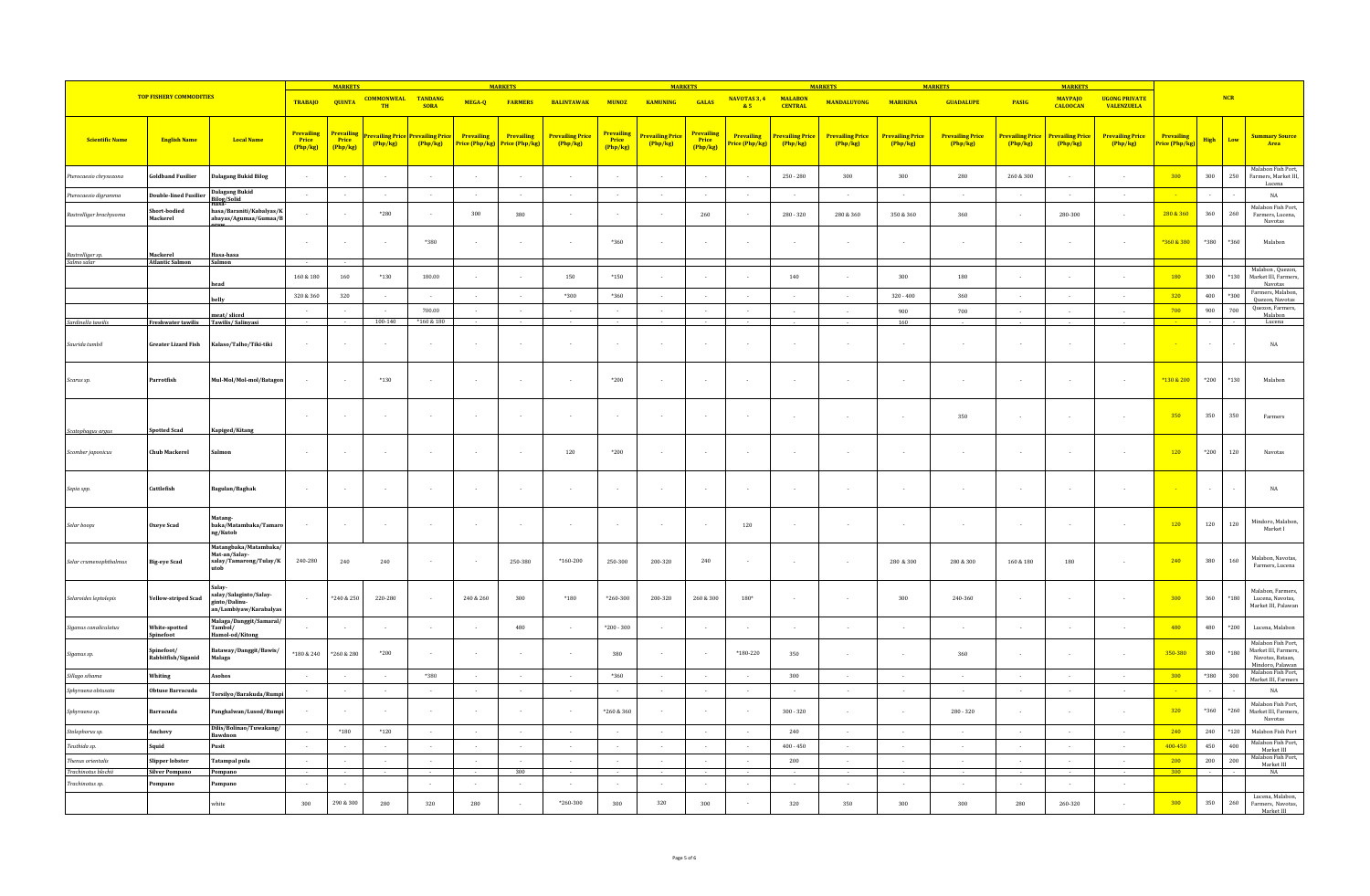|                                        |                                      |                                                                            |                                        | <b>MARKETS</b>                         |                                 |                                     |                              | <b>MARKETS</b>               |                                     |                                        | <b>MARKETS</b>                    |                                 |                              |                                   | <b>MARKETS</b>                      |                                     | <b>MARKETS</b>                    |                              | <b>MARKETS</b>                    |                                           |                              |              |              |                                                                                    |
|----------------------------------------|--------------------------------------|----------------------------------------------------------------------------|----------------------------------------|----------------------------------------|---------------------------------|-------------------------------------|------------------------------|------------------------------|-------------------------------------|----------------------------------------|-----------------------------------|---------------------------------|------------------------------|-----------------------------------|-------------------------------------|-------------------------------------|-----------------------------------|------------------------------|-----------------------------------|-------------------------------------------|------------------------------|--------------|--------------|------------------------------------------------------------------------------------|
|                                        | <b>TOP FISHERY COMMODITIES</b>       |                                                                            | <b>TRABAJO</b>                         | <b>QUINTA</b>                          | <b>COMMONWEAL TANDANG</b><br>TH | <b>SORA</b>                         | MEGA-Q                       | <b>FARMERS</b>               | <b>BALINTAWAK</b>                   | <b>MUNOZ</b>                           | <b>KAMUNING</b>                   | GALAS                           | NAVOTAS 3, 4<br>85           | <b>MALABON</b><br><b>CENTRAL</b>  | <b>MANDALUYONG</b>                  | <b>MARIKINA</b>                     | <b>GUADALUPE</b>                  | PASIG                        | <b>MAYPAJO</b><br><b>CALOOCAN</b> | <b>UGONG PRIVATE</b><br><b>VALENZUELA</b> |                              |              | <b>NCR</b>   |                                                                                    |
| <b>Scientific Name</b>                 | <b>English Name</b>                  | <b>Local Name</b>                                                          | <b>Prevailing</b><br>Price<br>(Php/kg) | <b>Prevailing</b><br>Price<br>(Php/kg) | revailing Price<br>Php/kg       | <b>Prevailing Price</b><br>(Php/kg) | Prevailing<br>Price (Php/kg) | Prevailing<br>Price (Php/kg) | <b>Prevailing Price</b><br>(Php/kg) | <b>Prevailing</b><br>Price<br>(Php/kg) | <b>Prevailing Price</b><br>Php/kg | Prevailing<br>Price<br>(Php/kg) | Prevailing<br>Price (Php/kg) | <b>Prevailing Price</b><br>Php/kg | <b>Prevailing Price</b><br>(Php/kg) | <b>Prevailing Price</b><br>(Php/kg) | <b>Prevailing Price</b><br>Php/kg | Prevailing Price<br>(Php/kg) | <b>Prevailing Price</b><br>Php/kg | <b>Prevailing Price</b><br>(Php/kg)       | Prevailing<br>Price (Php/kg) | High         | Low          | <b>Summary Source</b><br>Area                                                      |
| terocaesio chrysozona                  | oldband Fusilier                     | <b>Dalagang Bukid Bilog</b>                                                | $\sim$                                 |                                        | $\sim$                          | $\sim$                              | ٠.                           | $\overline{\phantom{a}}$     | $\sim$                              | $\cdot$                                | $\sim$                            |                                 |                              | $250 - 280$                       | $300\,$                             | $300\,$                             | 280                               | $260\,\&\,300$               |                                   |                                           | 300                          | 300          | 250          | Malabon Fish Port,<br>Farmers, Market III,                                         |
| Pterocaesio digramma                   | Double-lined Fusilier                | Dalagang Bukid<br>Bilog/Solid<br>Hasa-                                     | $\sim$                                 | $\sim$                                 | $\sim$                          | $\sim$                              | $\sim$                       | $\sim$                       | $\sim$                              | $\sim$                                 | $\sim$                            | $\sim$                          | $\sim$                       | $\sim$                            | $\sim$                              | $\sim$                              | $\sim$                            | $\sim$                       | $\sim$                            | $\sim$                                    |                              | $\sim$       |              | Lucena<br>NA                                                                       |
| Rastrelliger brachysoma                | Short-bodied<br>Mackerel             | hasa/Baraniti/Kabalyas/K<br>abayas/Agumaa/Gumaa/B                          |                                        |                                        | $*280$                          | $\overline{\phantom{a}}$            | 300                          | 380                          |                                     |                                        |                                   | 260                             |                              | $280 - 320$                       | 280 & 360                           | 350 & 360                           | 360                               |                              | 280-300                           |                                           | 280 & 360                    | 360          | 260          | Malabon Fish Port,<br>Farmers, Lucena,<br>Navotas                                  |
|                                        |                                      |                                                                            | $\overline{\phantom{a}}$               |                                        | $\overline{\phantom{a}}$        | *380                                | $\overline{\phantom{a}}$     |                              |                                     | *360                                   | $\sim$                            |                                 | $\sim$                       | $\sim$                            |                                     |                                     | $\overline{\phantom{a}}$          |                              |                                   | $\sim$                                    | *360 & 380                   | *380         | *360         | Malabon                                                                            |
| Rastrelliger sp.<br>Salmo salar        | Mackerel<br><b>Atlantic Salmon</b>   | Hasa-hasa<br>Salmon                                                        |                                        |                                        |                                 |                                     |                              |                              |                                     |                                        |                                   |                                 |                              |                                   |                                     |                                     |                                   |                              |                                   |                                           |                              |              |              | Malabon, Quezon,                                                                   |
|                                        |                                      |                                                                            | $160\,\&\,180$                         | 160                                    | $*130$                          | 180.00                              |                              |                              | 150                                 | $*150$                                 |                                   |                                 | $\sim$                       | 140                               |                                     | 300                                 | 180                               |                              |                                   |                                           | 180                          | 300          | $^{\ast}130$ | Market III, Farmers,<br>Navotas                                                    |
|                                        |                                      | aellv                                                                      | 320 & 360                              | 320                                    | $\sim$                          | $\sim$                              | $\sim$                       | $\overline{a}$               | *300                                | *360                                   | $\sim$                            | $\sim$                          | $\sim$                       | $\sim$                            | $\sim$                              | $320 - 400$                         | 360                               | $\sim$                       | $\sim$                            | $\overline{\phantom{a}}$                  | 320                          | 400          | *300         | Farmers, Malabon,<br>Quezon, Navotas                                               |
| Sardinella tawilis                     | Freshwater tawilis Tawilis/Salinyasi | meat/sliced                                                                | $\sim$                                 |                                        | 100-140                         | 700.00<br>*160 & 180                | $\sim$                       | $\sim$                       | $\sim$                              | $\sim$                                 | $\sim$                            | $\sim$                          | $\sim$                       | $\sim$                            | $\sim$                              | 900<br>160                          | 700                               | $\overline{\phantom{a}}$ .   | $\sim$                            | $\sim$                                    | 700                          | 900          | 700          | Quezon, Farmers,<br>Malabon<br>Lucena                                              |
| Saurida tumbil                         | Greater Lizard Fish                  | Kalaso/Talho/Tiki-tiki                                                     | $\sim$                                 |                                        |                                 | $\overline{\phantom{a}}$            |                              |                              |                                     |                                        |                                   |                                 |                              |                                   |                                     |                                     |                                   |                              |                                   |                                           |                              |              |              | $_{\rm NA}$                                                                        |
| Scarus sp.                             | Parrotfish                           | Mul-Mol/Mol-mol/Batagon                                                    |                                        |                                        | $*130$                          | $\cdot$                             |                              |                              |                                     | $^{\ast}200$                           |                                   |                                 |                              |                                   |                                     |                                     |                                   |                              |                                   | $\cdot$                                   | *130 & 200                   | $*200$       | $*130$       | Malabon                                                                            |
| Scatophagus argus                      | potted Scad                          | Kapiged/Kitang                                                             | $\sim$                                 |                                        | $\sim$                          | $\sim$                              |                              | $\overline{\phantom{a}}$     | $\overline{a}$                      | $\sim$                                 | $\sim$                            |                                 | $\sim$                       |                                   |                                     |                                     | 350                               |                              |                                   | ÷                                         | 350                          | 350          | 350          | Farmers                                                                            |
| Scomber japonicus                      | <b>Chub Mackerel</b>                 |                                                                            | $\sim$                                 |                                        | $\sim$                          | $\sim$                              | $\sim$                       |                              | 120                                 | *200                                   | $\sim$                            |                                 | $\sim$                       | $\sim$                            |                                     |                                     | $\overline{\phantom{a}}$          | $\overline{\phantom{a}}$     |                                   | $\sim$                                    | 120                          | *200         | 120          | Navotas                                                                            |
| Sepia spp.                             | Cuttlefish                           | Bagulan/Baghak                                                             | $\sim$                                 |                                        |                                 | $\sim$                              |                              |                              |                                     |                                        |                                   |                                 | $\sim$                       | $\sim$                            |                                     |                                     |                                   |                              |                                   |                                           |                              |              |              | $_{\rm NA}$                                                                        |
| Selar boops                            | Oxeye Scad                           | latang-<br>baka/Matambaka/Tamaro<br>ng/Kutob                               |                                        |                                        |                                 | $\cdot$                             |                              |                              |                                     |                                        |                                   |                                 | 120                          | ÷                                 |                                     |                                     |                                   |                              |                                   |                                           | 120                          | 120          | 120          | Mindoro, Malabon<br>Market I                                                       |
| Selar crumenophthalmus                 | Big-eye Scad                         | Matangbaka/Matambaka<br>Mat-an/Salay-<br>salay/Tamarong/Tulay/K            | 240-280                                | 240                                    | 240                             | $\cdot$                             |                              | 250-380                      | $*160 - 200$                        | 250-300                                | 200-320                           | 240                             |                              |                                   |                                     | $280\,$ & $300\,$                   | $280\ \&\ 300$                    | $160\ \&\ 180$               | 180                               |                                           | 240                          | 380          | 160          | Malabon, Navotas,<br>Farmers, Lucena                                               |
| Selaroides leptolepis                  | <b>Fellow-striped Scad</b>           | Salay<br>salay/Salaginto/Salay-<br>ginto/Dalinu-<br>an/Lambiyaw/Karabalyas |                                        | *240 & 250                             | 220-280                         | $\cdot$                             | 240 & 260                    | $300\,$                      | $^{\ast}180$                        | $*260 - 300$                           | 200-320                           | $260\,\&\,300$                  | $180*$                       |                                   |                                     | 300                                 | 240-360                           |                              |                                   |                                           | 300                          | 360          | $*180$       | Malabon, Farmers,<br>Lucena, Navotas,<br>Market III, Palawan                       |
| Siganus canaliculatus                  | White-spotted<br>pinefoot            | Malaga/Danggit/Samaral/<br>Tambol/<br>Hamol-od/Kitong                      |                                        |                                        |                                 | $\sim$                              |                              | 480                          |                                     | $*200 - 300$                           |                                   |                                 |                              |                                   |                                     |                                     | $\sim$                            | $\overline{\phantom{a}}$     |                                   |                                           | 480                          | 480          | $*200$       | Lucena, Malabon                                                                    |
| Siganus sp.                            | inefoot/<br>abbitfish/Siganid        | Bataway/Danggit/Bawis/<br>Malaga                                           | *180 & 240                             | *260 & 280                             | $*200$                          | $\sim$                              | $\sim$                       |                              |                                     | 380                                    | $\sim$                            |                                 | *180-220                     | 350                               | $\overline{\phantom{a}}$            | $\overline{\phantom{a}}$            | 360                               | $\overline{\phantom{a}}$     |                                   | $\sim$                                    | 350-380                      | 380          | $^{\ast}180$ | Malabon Fish Port,<br>Market III, Farmers,<br>Navotas, Bataan,<br>Mindoro, Palawan |
| Sillago sihama                         | Whiting                              | Asohos                                                                     | $\sim$                                 |                                        | $\sim$                          | $*380$                              | $\sim$                       | $\sim$                       | $\sim$                              | $*360$                                 | $\sim$                            | $\sim$                          | $\sim$                       | $300\,$                           | $\sim$                              | $\sim$                              | $\sim$                            | $\sim$                       | $\sim$                            | $\sim$                                    | 300                          | $^{\ast}380$ | 300          | Malabon Fish Port,<br>Market III, Farmers                                          |
| Sphyraena obtusata                     | Obtuse Barracuda                     | 'orsilyo/Barakuda/Rump                                                     | $\sim$                                 | $\sim$                                 | $\sim$                          | $\sim$                              | $\sim$                       | $\sim$                       | $\sim$                              | $\sim$                                 | $\sim$                            | $\sim$                          | $\sim$                       | $\sim$                            | $\sim$                              | $\sim$                              | $\sim$                            | $\sim$                       | $\sim$                            | $\sim$                                    | <b>College</b>               | $\sim$       |              | NA                                                                                 |
| Sphyraena sp.                          | arracuda                             | anghalwan/Lusod/Rump                                                       |                                        |                                        |                                 | $\sim$                              |                              |                              |                                     | $*260 & 360$                           | $\sim$                            |                                 |                              | $300$ - $320\,$                   |                                     |                                     | $280\cdot320$                     |                              |                                   |                                           | 320                          | $*360$       | $*260$       | Malabon Fish Port,<br>Market III, Farmers,<br>Navotas                              |
| Stolephorus sp.                        | Anchovy                              | Dilis/Bolinao/Tuwakang/<br>Bawdnon                                         |                                        | $*180$                                 | $*120$                          | $\sim$                              | $\sim$                       | $\overline{\phantom{a}}$     | $\sim$                              | $\sim$                                 | $\sim$                            | $\sim$                          | $\sim$                       | 240                               | $\sim$                              | $\sim$                              | $\sim$                            | $\sim$                       | $\sim$                            | $\sim$                                    | 240                          | 240          | $*120$       | Malabon Fish Port                                                                  |
| Teuthida sp.                           | Sauid                                | Pusit                                                                      | $\sim$                                 |                                        |                                 | $\sim$                              | $\sim$                       |                              | $\sim$                              | $\sim$                                 | $\sim$                            |                                 | $\sim$                       | $400 - 450$                       | $\overline{\phantom{a}}$            | $\overline{\phantom{a}}$            | $\sim$                            | $\overline{\phantom{a}}$     |                                   | $\overline{\phantom{a}}$                  | 400-450                      | 450          | 400          | Malabon Fish Port,<br>Market III                                                   |
| Thenus orientalis                      | Slipper lobster                      | <b>Tatampal</b> pula                                                       | $\sim$                                 | $\sim$                                 | $\sim$                          | $\sim$                              | $\sim$                       |                              |                                     | $\sim$                                 | $\sim$                            | $\sim$                          | $\sim$                       | 200                               | $\sim$                              | $\overline{\phantom{a}}$            | $\sim$                            | $\overline{\phantom{a}}$     | $\sim$                            | $\sim$                                    | 200<br>300                   | 200          | 200          | Malabon Fish Port,<br>Market III                                                   |
| Trachinotus blochii<br>Trachinotus sp. | <b>Silver Pompano</b><br>mpano       | Pompano<br>Pampano                                                         | $\sim$                                 |                                        |                                 | $\sim$                              |                              | 300                          | $\sim$                              | $\sim$                                 | $\sim$                            | $\sim$                          | $\sim$                       | $\sim$                            |                                     | $\sim$                              | $\sim$                            | $\overline{\phantom{a}}$     | $\sim$                            | $\sim$                                    |                              |              |              | $_{\rm NA}$                                                                        |
|                                        |                                      | white                                                                      | 300                                    | 290 & 300                              | 280                             | 320                                 | 280                          |                              | *260-300                            | 300                                    | 320                               | 300                             |                              | $320\,$                           | 350                                 | 300                                 | 300                               | 280                          | 260-320                           |                                           | 300                          | 350          | 260          | Lucena, Malabon,<br>Farmers, Navotas,<br>Market III                                |